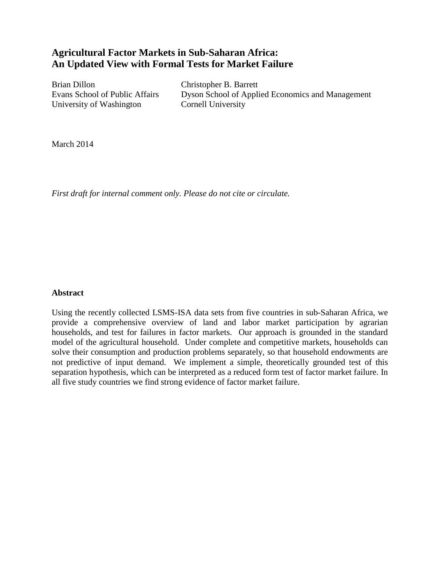# **Agricultural Factor Markets in Sub-Saharan Africa: An Updated View with Formal Tests for Market Failure**

Brian Dillon Christopher B. Barrett University of Washington Cornell University

Evans School of Public Affairs Dyson School of Applied Economics and Management

March 2014

*First draft for internal comment only. Please do not cite or circulate.*

## **Abstract**

Using the recently collected LSMS-ISA data sets from five countries in sub-Saharan Africa, we provide a comprehensive overview of land and labor market participation by agrarian households, and test for failures in factor markets. Our approach is grounded in the standard model of the agricultural household. Under complete and competitive markets, households can solve their consumption and production problems separately, so that household endowments are not predictive of input demand. We implement a simple, theoretically grounded test of this separation hypothesis, which can be interpreted as a reduced form test of factor market failure. In all five study countries we find strong evidence of factor market failure.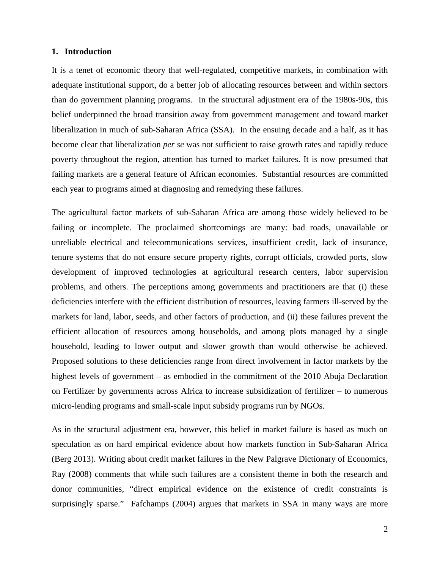### **1. Introduction**

It is a tenet of economic theory that well-regulated, competitive markets, in combination with adequate institutional support, do a better job of allocating resources between and within sectors than do government planning programs. In the structural adjustment era of the 1980s-90s, this belief underpinned the broad transition away from government management and toward market liberalization in much of sub-Saharan Africa (SSA). In the ensuing decade and a half, as it has become clear that liberalization *per se* was not sufficient to raise growth rates and rapidly reduce poverty throughout the region, attention has turned to market failures. It is now presumed that failing markets are a general feature of African economies. Substantial resources are committed each year to programs aimed at diagnosing and remedying these failures.

The agricultural factor markets of sub-Saharan Africa are among those widely believed to be failing or incomplete. The proclaimed shortcomings are many: bad roads, unavailable or unreliable electrical and telecommunications services, insufficient credit, lack of insurance, tenure systems that do not ensure secure property rights, corrupt officials, crowded ports, slow development of improved technologies at agricultural research centers, labor supervision problems, and others. The perceptions among governments and practitioners are that (i) these deficiencies interfere with the efficient distribution of resources, leaving farmers ill-served by the markets for land, labor, seeds, and other factors of production, and (ii) these failures prevent the efficient allocation of resources among households, and among plots managed by a single household, leading to lower output and slower growth than would otherwise be achieved. Proposed solutions to these deficiencies range from direct involvement in factor markets by the highest levels of government – as embodied in the commitment of the 2010 Abuja Declaration on Fertilizer by governments across Africa to increase subsidization of fertilizer – to numerous micro-lending programs and small-scale input subsidy programs run by NGOs.

As in the structural adjustment era, however, this belief in market failure is based as much on speculation as on hard empirical evidence about how markets function in Sub-Saharan Africa (Berg 2013). Writing about credit market failures in the New Palgrave Dictionary of Economics, Ray (2008) comments that while such failures are a consistent theme in both the research and donor communities, "direct empirical evidence on the existence of credit constraints is surprisingly sparse." Fafchamps (2004) argues that markets in SSA in many ways are more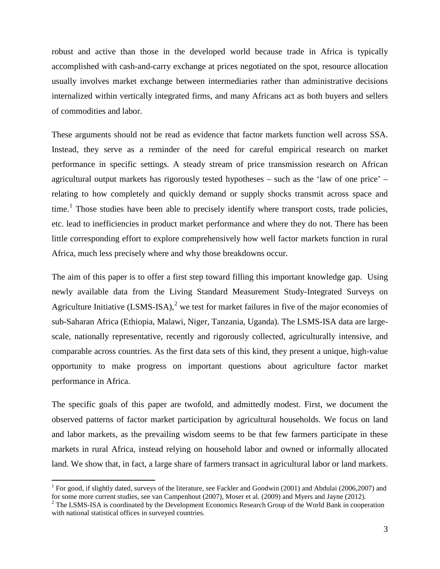robust and active than those in the developed world because trade in Africa is typically accomplished with cash-and-carry exchange at prices negotiated on the spot, resource allocation usually involves market exchange between intermediaries rather than administrative decisions internalized within vertically integrated firms, and many Africans act as both buyers and sellers of commodities and labor.

These arguments should not be read as evidence that factor markets function well across SSA. Instead, they serve as a reminder of the need for careful empirical research on market performance in specific settings. A steady stream of price transmission research on African agricultural output markets has rigorously tested hypotheses – such as the 'law of one price' – relating to how completely and quickly demand or supply shocks transmit across space and time.<sup>[1](#page-2-0)</sup> Those studies have been able to precisely identify where transport costs, trade policies, etc. lead to inefficiencies in product market performance and where they do not. There has been little corresponding effort to explore comprehensively how well factor markets function in rural Africa, much less precisely where and why those breakdowns occur.

The aim of this paper is to offer a first step toward filling this important knowledge gap. Using newly available data from the Living Standard Measurement Study-Integrated Surveys on Agriculture Initiative (LSMS-ISA),<sup>[2](#page-2-1)</sup> we test for market failures in five of the major economies of sub-Saharan Africa (Ethiopia, Malawi, Niger, Tanzania, Uganda). The LSMS-ISA data are largescale, nationally representative, recently and rigorously collected, agriculturally intensive, and comparable across countries. As the first data sets of this kind, they present a unique, high-value opportunity to make progress on important questions about agriculture factor market performance in Africa.

The specific goals of this paper are twofold, and admittedly modest. First, we document the observed patterns of factor market participation by agricultural households. We focus on land and labor markets, as the prevailing wisdom seems to be that few farmers participate in these markets in rural Africa, instead relying on household labor and owned or informally allocated land. We show that, in fact, a large share of farmers transact in agricultural labor or land markets.

<span id="page-2-0"></span><sup>&</sup>lt;sup>1</sup> For good, if slightly dated, surveys of the literature, see Fackler and Goodwin (2001) and Abdulai (2006,2007) and for some more current studies, see van Campenhout (2007), Moser et al. (2009) and Myers and Jayne (2012).

<span id="page-2-1"></span><sup>&</sup>lt;sup>2</sup> The LSMS-ISA is coordinated by the Development Economics Research Group of the World Bank in cooperation with national statistical offices in surveyed countries.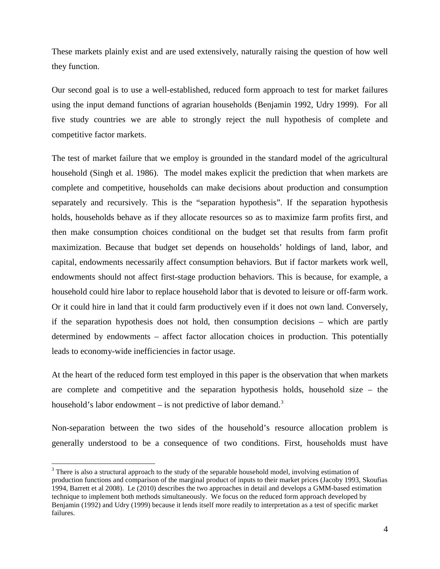These markets plainly exist and are used extensively, naturally raising the question of how well they function.

Our second goal is to use a well-established, reduced form approach to test for market failures using the input demand functions of agrarian households (Benjamin 1992, Udry 1999). For all five study countries we are able to strongly reject the null hypothesis of complete and competitive factor markets.

The test of market failure that we employ is grounded in the standard model of the agricultural household (Singh et al. 1986). The model makes explicit the prediction that when markets are complete and competitive, households can make decisions about production and consumption separately and recursively. This is the "separation hypothesis". If the separation hypothesis holds, households behave as if they allocate resources so as to maximize farm profits first, and then make consumption choices conditional on the budget set that results from farm profit maximization. Because that budget set depends on households' holdings of land, labor, and capital, endowments necessarily affect consumption behaviors. But if factor markets work well, endowments should not affect first-stage production behaviors. This is because, for example, a household could hire labor to replace household labor that is devoted to leisure or off-farm work. Or it could hire in land that it could farm productively even if it does not own land. Conversely, if the separation hypothesis does not hold, then consumption decisions – which are partly determined by endowments – affect factor allocation choices in production. This potentially leads to economy-wide inefficiencies in factor usage.

At the heart of the reduced form test employed in this paper is the observation that when markets are complete and competitive and the separation hypothesis holds, household size – the household's labor endowment – is not predictive of labor demand.<sup>[3](#page-3-0)</sup>

Non-separation between the two sides of the household's resource allocation problem is generally understood to be a consequence of two conditions. First, households must have

<span id="page-3-0"></span><sup>&</sup>lt;sup>3</sup> There is also a structural approach to the study of the separable household model, involving estimation of production functions and comparison of the marginal product of inputs to their market prices (Jacoby 1993, Skoufias 1994, Barrett et al 2008). Le (2010) describes the two approaches in detail and develops a GMM-based estimation technique to implement both methods simultaneously. We focus on the reduced form approach developed by Benjamin (1992) and Udry (1999) because it lends itself more readily to interpretation as a test of specific market failures.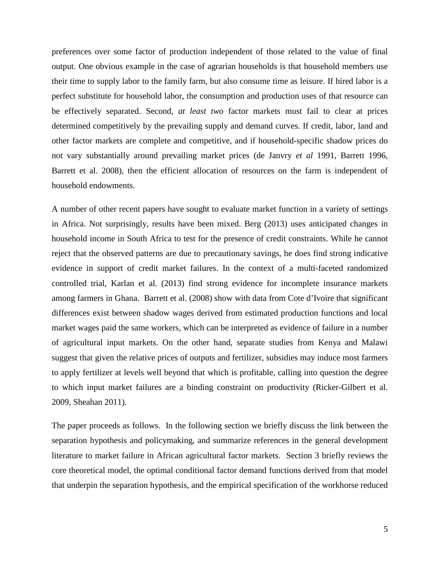preferences over some factor of production independent of those related to the value of final output. One obvious example in the case of agrarian households is that household members use their time to supply labor to the family farm, but also consume time as leisure. If hired labor is a perfect substitute for household labor, the consumption and production uses of that resource can be effectively separated. Second, *at least two* factor markets must fail to clear at prices determined competitively by the prevailing supply and demand curves. If credit, labor, land and other factor markets are complete and competitive, and if household-specific shadow prices do not vary substantially around prevailing market prices (de Janvry *et al* 1991, Barrett 1996, Barrett et al. 2008), then the efficient allocation of resources on the farm is independent of household endowments.

A number of other recent papers have sought to evaluate market function in a variety of settings in Africa. Not surprisingly, results have been mixed. Berg (2013) uses anticipated changes in household income in South Africa to test for the presence of credit constraints. While he cannot reject that the observed patterns are due to precautionary savings, he does find strong indicative evidence in support of credit market failures. In the context of a multi-faceted randomized controlled trial, Karlan et al. (2013) find strong evidence for incomplete insurance markets among farmers in Ghana. Barrett et al. (2008) show with data from Cote d'Ivoire that significant differences exist between shadow wages derived from estimated production functions and local market wages paid the same workers, which can be interpreted as evidence of failure in a number of agricultural input markets. On the other hand, separate studies from Kenya and Malawi suggest that given the relative prices of outputs and fertilizer, subsidies may induce most farmers to apply fertilizer at levels well beyond that which is profitable, calling into question the degree to which input market failures are a binding constraint on productivity (Ricker-Gilbert et al. 2009, Sheahan 2011).

The paper proceeds as follows. In the following section we briefly discuss the link between the separation hypothesis and policymaking, and summarize references in the general development literature to market failure in African agricultural factor markets. Section 3 briefly reviews the core theoretical model, the optimal conditional factor demand functions derived from that model that underpin the separation hypothesis, and the empirical specification of the workhorse reduced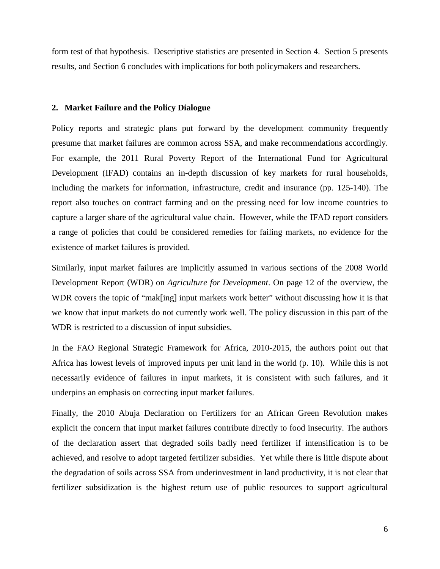form test of that hypothesis. Descriptive statistics are presented in Section 4. Section 5 presents results, and Section 6 concludes with implications for both policymakers and researchers.

## **2. Market Failure and the Policy Dialogue**

Policy reports and strategic plans put forward by the development community frequently presume that market failures are common across SSA, and make recommendations accordingly. For example, the 2011 Rural Poverty Report of the International Fund for Agricultural Development (IFAD) contains an in-depth discussion of key markets for rural households, including the markets for information, infrastructure, credit and insurance (pp. 125-140). The report also touches on contract farming and on the pressing need for low income countries to capture a larger share of the agricultural value chain. However, while the IFAD report considers a range of policies that could be considered remedies for failing markets, no evidence for the existence of market failures is provided.

Similarly, input market failures are implicitly assumed in various sections of the 2008 World Development Report (WDR) on *Agriculture for Development*. On page 12 of the overview, the WDR covers the topic of "mak<sup>[ing]</sup> input markets work better" without discussing how it is that we know that input markets do not currently work well. The policy discussion in this part of the WDR is restricted to a discussion of input subsidies.

In the FAO Regional Strategic Framework for Africa, 2010-2015, the authors point out that Africa has lowest levels of improved inputs per unit land in the world (p. 10). While this is not necessarily evidence of failures in input markets, it is consistent with such failures, and it underpins an emphasis on correcting input market failures.

Finally, the 2010 Abuja Declaration on Fertilizers for an African Green Revolution makes explicit the concern that input market failures contribute directly to food insecurity. The authors of the declaration assert that degraded soils badly need fertilizer if intensification is to be achieved, and resolve to adopt targeted fertilizer subsidies. Yet while there is little dispute about the degradation of soils across SSA from underinvestment in land productivity, it is not clear that fertilizer subsidization is the highest return use of public resources to support agricultural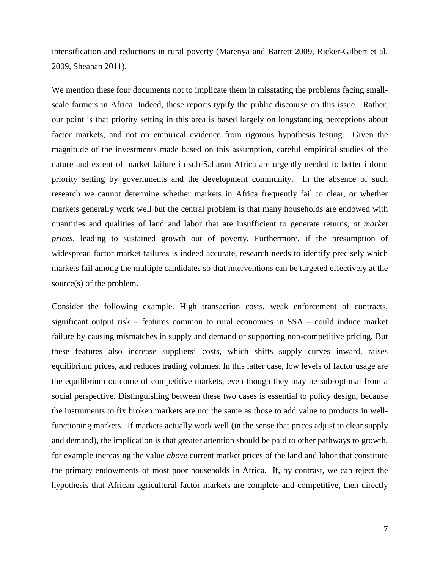intensification and reductions in rural poverty (Marenya and Barrett 2009, Ricker-Gilbert et al. 2009, Sheahan 2011).

We mention these four documents not to implicate them in misstating the problems facing smallscale farmers in Africa. Indeed, these reports typify the public discourse on this issue. Rather, our point is that priority setting in this area is based largely on longstanding perceptions about factor markets, and not on empirical evidence from rigorous hypothesis testing. Given the magnitude of the investments made based on this assumption, careful empirical studies of the nature and extent of market failure in sub-Saharan Africa are urgently needed to better inform priority setting by governments and the development community. In the absence of such research we cannot determine whether markets in Africa frequently fail to clear, or whether markets generally work well but the central problem is that many households are endowed with quantities and qualities of land and labor that are insufficient to generate returns, *at market prices*, leading to sustained growth out of poverty. Furthermore, if the presumption of widespread factor market failures is indeed accurate, research needs to identify precisely which markets fail among the multiple candidates so that interventions can be targeted effectively at the source(s) of the problem.

Consider the following example. High transaction costs, weak enforcement of contracts, significant output risk – features common to rural economies in SSA – could induce market failure by causing mismatches in supply and demand or supporting non-competitive pricing. But these features also increase suppliers' costs, which shifts supply curves inward, raises equilibrium prices, and reduces trading volumes. In this latter case, low levels of factor usage are the equilibrium outcome of competitive markets, even though they may be sub-optimal from a social perspective. Distinguishing between these two cases is essential to policy design, because the instruments to fix broken markets are not the same as those to add value to products in wellfunctioning markets. If markets actually work well (in the sense that prices adjust to clear supply and demand), the implication is that greater attention should be paid to other pathways to growth, for example increasing the value *above* current market prices of the land and labor that constitute the primary endowments of most poor households in Africa. If, by contrast, we can reject the hypothesis that African agricultural factor markets are complete and competitive, then directly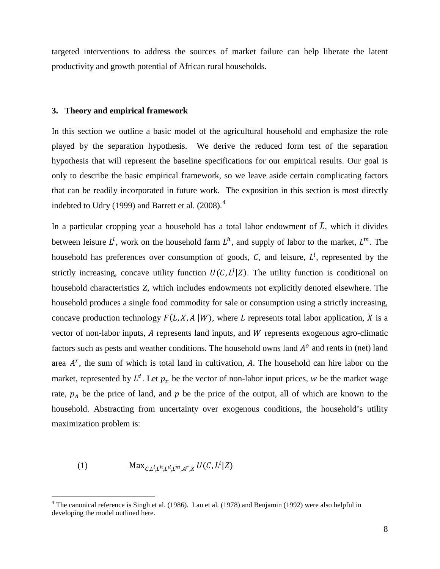targeted interventions to address the sources of market failure can help liberate the latent productivity and growth potential of African rural households.

### **3. Theory and empirical framework**

In this section we outline a basic model of the agricultural household and emphasize the role played by the separation hypothesis. We derive the reduced form test of the separation hypothesis that will represent the baseline specifications for our empirical results. Our goal is only to describe the basic empirical framework, so we leave aside certain complicating factors that can be readily incorporated in future work. The exposition in this section is most directly indebted to Udry (1999) and Barrett et al.  $(2008).<sup>4</sup>$  $(2008).<sup>4</sup>$  $(2008).<sup>4</sup>$ 

In a particular cropping year a household has a total labor endowment of  $\overline{L}$ , which it divides between leisure  $L^l$ , work on the household farm  $L^h$ , and supply of labor to the market,  $L^m$ . The household has preferences over consumption of goods,  $C$ , and leisure,  $L^l$ , represented by the strictly increasing, concave utility function  $U(C, L^l | Z)$ . The utility function is conditional on household characteristics *Z*, which includes endowments not explicitly denoted elsewhere. The household produces a single food commodity for sale or consumption using a strictly increasing, concave production technology  $F(L, X, A | W)$ , where L represents total labor application, X is a vector of non-labor inputs,  $A$  represents land inputs, and  $W$  represents exogenous agro-climatic factors such as pests and weather conditions. The household owns land  $A<sup>o</sup>$  and rents in (net) land area  $A<sup>r</sup>$ , the sum of which is total land in cultivation, A. The household can hire labor on the market, represented by  $L^d$ . Let  $p_x$  be the vector of non-labor input prices, w be the market wage rate,  $p_A$  be the price of land, and  $p$  be the price of the output, all of which are known to the household. Abstracting from uncertainty over exogenous conditions, the household's utility maximization problem is:

$$
(1) \tMax_{C,L^l,L^h,L^d,L^m,A^r,X} U(C,L^l|Z)
$$

<span id="page-7-0"></span><sup>&</sup>lt;sup>4</sup> The canonical reference is Singh et al. (1986). Lau et al. (1978) and Benjamin (1992) were also helpful in developing the model outlined here.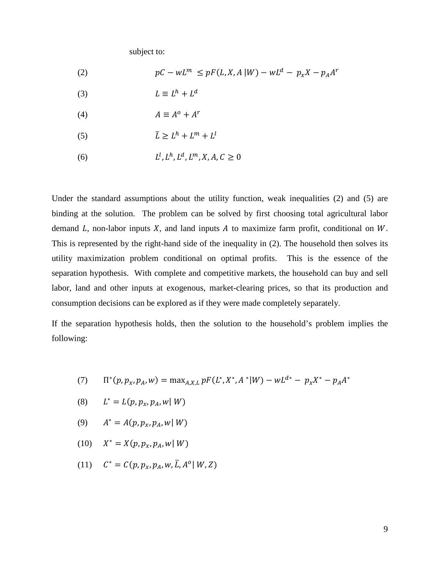subject to:

(2) 
$$
pC - wL^m \leq pF(L, X, A|W) - wL^d - p_xX - p_AA^r
$$

- (3)  $L \equiv L^h + L^d$
- (4)  $A \equiv A^o + A^r$
- (5)  $\bar{L} \ge L^h + L^m + L^l$
- (6)  $L^l, L^h, L^d, L^m, X, A, C > 0$

Under the standard assumptions about the utility function, weak inequalities (2) and (5) are binding at the solution. The problem can be solved by first choosing total agricultural labor demand  $L$ , non-labor inputs  $X$ , and land inputs  $A$  to maximize farm profit, conditional on  $W$ . This is represented by the right-hand side of the inequality in (2). The household then solves its utility maximization problem conditional on optimal profits. This is the essence of the separation hypothesis. With complete and competitive markets, the household can buy and sell labor, land and other inputs at exogenous, market-clearing prices, so that its production and consumption decisions can be explored as if they were made completely separately.

If the separation hypothesis holds, then the solution to the household's problem implies the following:

- (7)  $\Pi^*(p, p_x, p_A, w) = \max_{A, X, L} pF(L^*, X^*, A^*|W) wL^{d*} p_x X^* p_A A^*$
- (8)  $L^* = L(p, p_x, p_A, w | W)$
- (9)  $A^* = A(p, p_x, p_A, w | W)$
- (10)  $X^* = X(p, p_x, p_A, w | W)$
- (11)  $C^* = C(p, p_x, p_A, w, \bar{L}, A^o | W, Z)$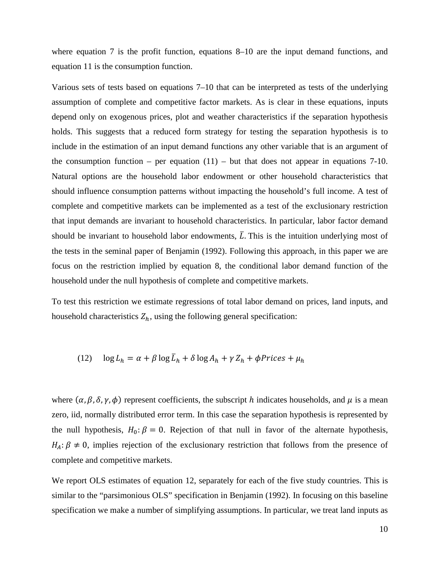where equation 7 is the profit function, equations 8–10 are the input demand functions, and equation 11 is the consumption function.

Various sets of tests based on equations 7–10 that can be interpreted as tests of the underlying assumption of complete and competitive factor markets. As is clear in these equations, inputs depend only on exogenous prices, plot and weather characteristics if the separation hypothesis holds. This suggests that a reduced form strategy for testing the separation hypothesis is to include in the estimation of an input demand functions any other variable that is an argument of the consumption function – per equation  $(11)$  – but that does not appear in equations 7-10. Natural options are the household labor endowment or other household characteristics that should influence consumption patterns without impacting the household's full income. A test of complete and competitive markets can be implemented as a test of the exclusionary restriction that input demands are invariant to household characteristics. In particular, labor factor demand should be invariant to household labor endowments,  $\overline{L}$ . This is the intuition underlying most of the tests in the seminal paper of Benjamin (1992). Following this approach, in this paper we are focus on the restriction implied by equation 8, the conditional labor demand function of the household under the null hypothesis of complete and competitive markets.

To test this restriction we estimate regressions of total labor demand on prices, land inputs, and household characteristics  $Z_h$ , using the following general specification:

(12) 
$$
\log L_h = \alpha + \beta \log \bar{L}_h + \delta \log A_h + \gamma Z_h + \phi \text{ Prices} + \mu_h
$$

where  $(\alpha, \beta, \delta, \gamma, \phi)$  represent coefficients, the subscript h indicates households, and  $\mu$  is a mean zero, iid, normally distributed error term. In this case the separation hypothesis is represented by the null hypothesis,  $H_0: \beta = 0$ . Rejection of that null in favor of the alternate hypothesis,  $H_A: \beta \neq 0$ , implies rejection of the exclusionary restriction that follows from the presence of complete and competitive markets.

We report OLS estimates of equation 12, separately for each of the five study countries. This is similar to the "parsimonious OLS" specification in Benjamin (1992). In focusing on this baseline specification we make a number of simplifying assumptions. In particular, we treat land inputs as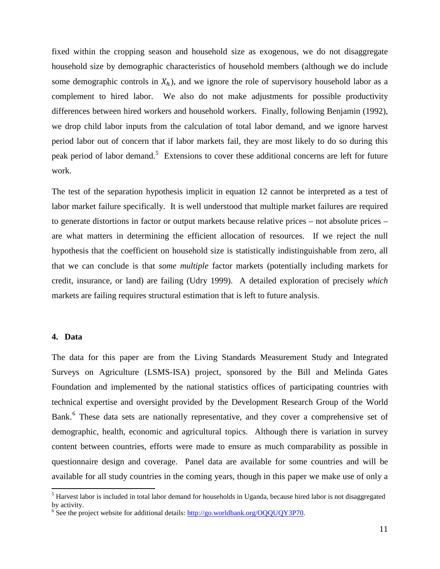fixed within the cropping season and household size as exogenous, we do not disaggregate household size by demographic characteristics of household members (although we do include some demographic controls in  $X_h$ ), and we ignore the role of supervisory household labor as a complement to hired labor. We also do not make adjustments for possible productivity differences between hired workers and household workers. Finally, following Benjamin (1992), we drop child labor inputs from the calculation of total labor demand, and we ignore harvest period labor out of concern that if labor markets fail, they are most likely to do so during this peak period of labor demand.<sup>[5](#page-10-0)</sup> Extensions to cover these additional concerns are left for future work.

The test of the separation hypothesis implicit in equation 12 cannot be interpreted as a test of labor market failure specifically. It is well understood that multiple market failures are required to generate distortions in factor or output markets because relative prices – not absolute prices – are what matters in determining the efficient allocation of resources. If we reject the null hypothesis that the coefficient on household size is statistically indistinguishable from zero, all that we can conclude is that *some multiple* factor markets (potentially including markets for credit, insurance, or land) are failing (Udry 1999). A detailed exploration of precisely *which* markets are failing requires structural estimation that is left to future analysis.

### **4. Data**

The data for this paper are from the Living Standards Measurement Study and Integrated Surveys on Agriculture (LSMS-ISA) project, sponsored by the Bill and Melinda Gates Foundation and implemented by the national statistics offices of participating countries with technical expertise and oversight provided by the Development Research Group of the World Bank.<sup>[6](#page-10-1)</sup> These data sets are nationally representative, and they cover a comprehensive set of demographic, health, economic and agricultural topics. Although there is variation in survey content between countries, efforts were made to ensure as much comparability as possible in questionnaire design and coverage. Panel data are available for some countries and will be available for all study countries in the coming years, though in this paper we make use of only a

<span id="page-10-0"></span><sup>&</sup>lt;sup>5</sup> Harvest labor is included in total labor demand for households in Uganda, because hired labor is not disaggregated by activity.

<span id="page-10-1"></span> $6^{\circ}$  See the project website for additional details[: http://go.worldbank.org/OQQUQY3P70.](http://go.worldbank.org/OQQUQY3P70)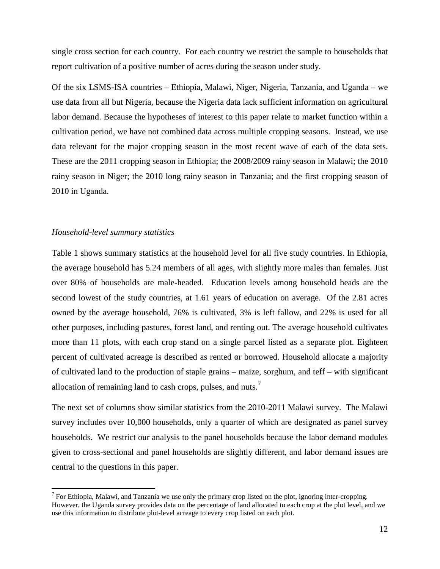single cross section for each country. For each country we restrict the sample to households that report cultivation of a positive number of acres during the season under study.

Of the six LSMS-ISA countries – Ethiopia, Malawi, Niger, Nigeria, Tanzania, and Uganda – we use data from all but Nigeria, because the Nigeria data lack sufficient information on agricultural labor demand. Because the hypotheses of interest to this paper relate to market function within a cultivation period, we have not combined data across multiple cropping seasons. Instead, we use data relevant for the major cropping season in the most recent wave of each of the data sets. These are the 2011 cropping season in Ethiopia; the 2008/2009 rainy season in Malawi; the 2010 rainy season in Niger; the 2010 long rainy season in Tanzania; and the first cropping season of 2010 in Uganda.

### *Household-level summary statistics*

Table 1 shows summary statistics at the household level for all five study countries. In Ethiopia, the average household has 5.24 members of all ages, with slightly more males than females. Just over 80% of households are male-headed. Education levels among household heads are the second lowest of the study countries, at 1.61 years of education on average. Of the 2.81 acres owned by the average household, 76% is cultivated, 3% is left fallow, and 22% is used for all other purposes, including pastures, forest land, and renting out. The average household cultivates more than 11 plots, with each crop stand on a single parcel listed as a separate plot. Eighteen percent of cultivated acreage is described as rented or borrowed. Household allocate a majority of cultivated land to the production of staple grains – maize, sorghum, and teff – with significant allocation of remaining land to cash crops, pulses, and nuts.<sup>[7](#page-11-0)</sup>

The next set of columns show similar statistics from the 2010-2011 Malawi survey. The Malawi survey includes over 10,000 households, only a quarter of which are designated as panel survey households. We restrict our analysis to the panel households because the labor demand modules given to cross-sectional and panel households are slightly different, and labor demand issues are central to the questions in this paper.

<span id="page-11-0"></span> $<sup>7</sup>$  For Ethiopia, Malawi, and Tanzania we use only the primary crop listed on the plot, ignoring inter-cropping.</sup> However, the Uganda survey provides data on the percentage of land allocated to each crop at the plot level, and we use this information to distribute plot-level acreage to every crop listed on each plot.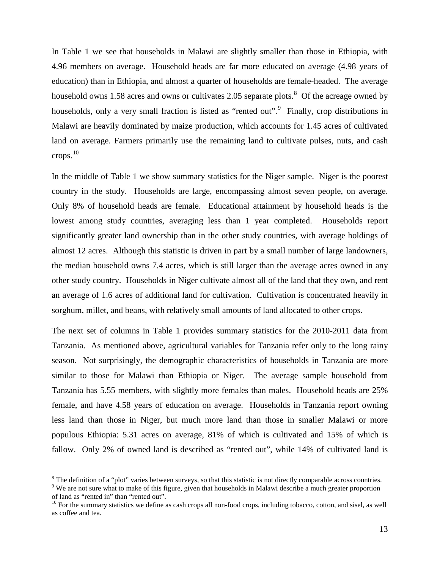In Table 1 we see that households in Malawi are slightly smaller than those in Ethiopia, with 4.96 members on average. Household heads are far more educated on average (4.98 years of education) than in Ethiopia, and almost a quarter of households are female-headed. The average household owns 1.5[8](#page-12-0) acres and owns or cultivates 2.05 separate plots.<sup>8</sup> Of the acreage owned by households, only a very small fraction is listed as "rented out".<sup>[9](#page-12-1)</sup> Finally, crop distributions in Malawi are heavily dominated by maize production, which accounts for 1.45 acres of cultivated land on average. Farmers primarily use the remaining land to cultivate pulses, nuts, and cash crops. $10$ 

In the middle of Table 1 we show summary statistics for the Niger sample. Niger is the poorest country in the study. Households are large, encompassing almost seven people, on average. Only 8% of household heads are female. Educational attainment by household heads is the lowest among study countries, averaging less than 1 year completed. Households report significantly greater land ownership than in the other study countries, with average holdings of almost 12 acres. Although this statistic is driven in part by a small number of large landowners, the median household owns 7.4 acres, which is still larger than the average acres owned in any other study country. Households in Niger cultivate almost all of the land that they own, and rent an average of 1.6 acres of additional land for cultivation. Cultivation is concentrated heavily in sorghum, millet, and beans, with relatively small amounts of land allocated to other crops.

The next set of columns in Table 1 provides summary statistics for the 2010-2011 data from Tanzania. As mentioned above, agricultural variables for Tanzania refer only to the long rainy season. Not surprisingly, the demographic characteristics of households in Tanzania are more similar to those for Malawi than Ethiopia or Niger. The average sample household from Tanzania has 5.55 members, with slightly more females than males. Household heads are 25% female, and have 4.58 years of education on average. Households in Tanzania report owning less land than those in Niger, but much more land than those in smaller Malawi or more populous Ethiopia: 5.31 acres on average, 81% of which is cultivated and 15% of which is fallow. Only 2% of owned land is described as "rented out", while 14% of cultivated land is

<span id="page-12-0"></span><sup>&</sup>lt;sup>8</sup> The definition of a "plot" varies between surveys, so that this statistic is not directly comparable across countries.

<span id="page-12-1"></span><sup>&</sup>lt;sup>9</sup> We are not sure what to make of this figure, given that households in Malawi describe a much greater proportion of land as "rented in" than "rented out".

<span id="page-12-2"></span> $10$  For the summary statistics we define as cash crops all non-food crops, including tobacco, cotton, and sisel, as well as coffee and tea.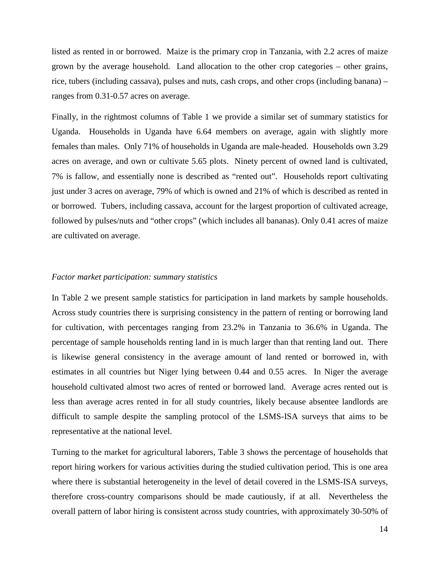listed as rented in or borrowed. Maize is the primary crop in Tanzania, with 2.2 acres of maize grown by the average household. Land allocation to the other crop categories – other grains, rice, tubers (including cassava), pulses and nuts, cash crops, and other crops (including banana) – ranges from 0.31-0.57 acres on average.

Finally, in the rightmost columns of Table 1 we provide a similar set of summary statistics for Uganda. Households in Uganda have 6.64 members on average, again with slightly more females than males. Only 71% of households in Uganda are male-headed. Households own 3.29 acres on average, and own or cultivate 5.65 plots. Ninety percent of owned land is cultivated, 7% is fallow, and essentially none is described as "rented out". Households report cultivating just under 3 acres on average, 79% of which is owned and 21% of which is described as rented in or borrowed. Tubers, including cassava, account for the largest proportion of cultivated acreage, followed by pulses/nuts and "other crops" (which includes all bananas). Only 0.41 acres of maize are cultivated on average.

### *Factor market participation: summary statistics*

In Table 2 we present sample statistics for participation in land markets by sample households. Across study countries there is surprising consistency in the pattern of renting or borrowing land for cultivation, with percentages ranging from 23.2% in Tanzania to 36.6% in Uganda. The percentage of sample households renting land in is much larger than that renting land out. There is likewise general consistency in the average amount of land rented or borrowed in, with estimates in all countries but Niger lying between 0.44 and 0.55 acres. In Niger the average household cultivated almost two acres of rented or borrowed land. Average acres rented out is less than average acres rented in for all study countries, likely because absentee landlords are difficult to sample despite the sampling protocol of the LSMS-ISA surveys that aims to be representative at the national level.

Turning to the market for agricultural laborers, Table 3 shows the percentage of households that report hiring workers for various activities during the studied cultivation period. This is one area where there is substantial heterogeneity in the level of detail covered in the LSMS-ISA surveys, therefore cross-country comparisons should be made cautiously, if at all. Nevertheless the overall pattern of labor hiring is consistent across study countries, with approximately 30-50% of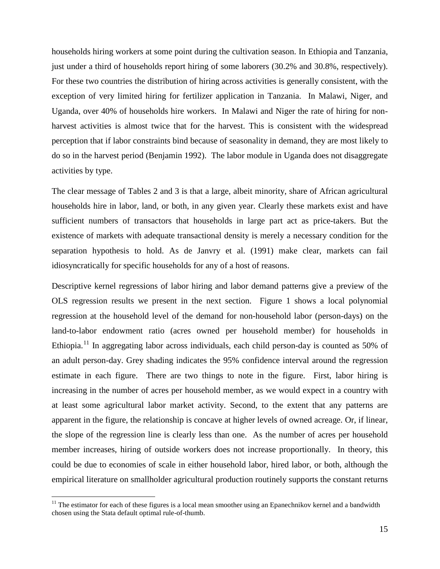households hiring workers at some point during the cultivation season. In Ethiopia and Tanzania, just under a third of households report hiring of some laborers (30.2% and 30.8%, respectively). For these two countries the distribution of hiring across activities is generally consistent, with the exception of very limited hiring for fertilizer application in Tanzania. In Malawi, Niger, and Uganda, over 40% of households hire workers. In Malawi and Niger the rate of hiring for nonharvest activities is almost twice that for the harvest. This is consistent with the widespread perception that if labor constraints bind because of seasonality in demand, they are most likely to do so in the harvest period (Benjamin 1992). The labor module in Uganda does not disaggregate activities by type.

The clear message of Tables 2 and 3 is that a large, albeit minority, share of African agricultural households hire in labor, land, or both, in any given year. Clearly these markets exist and have sufficient numbers of transactors that households in large part act as price-takers. But the existence of markets with adequate transactional density is merely a necessary condition for the separation hypothesis to hold. As de Janvry et al. (1991) make clear, markets can fail idiosyncratically for specific households for any of a host of reasons.

Descriptive kernel regressions of labor hiring and labor demand patterns give a preview of the OLS regression results we present in the next section. Figure 1 shows a local polynomial regression at the household level of the demand for non-household labor (person-days) on the land-to-labor endowment ratio (acres owned per household member) for households in Ethiopia.<sup>[11](#page-14-0)</sup> In aggregating labor across individuals, each child person-day is counted as 50% of an adult person-day. Grey shading indicates the 95% confidence interval around the regression estimate in each figure. There are two things to note in the figure. First, labor hiring is increasing in the number of acres per household member, as we would expect in a country with at least some agricultural labor market activity. Second, to the extent that any patterns are apparent in the figure, the relationship is concave at higher levels of owned acreage. Or, if linear, the slope of the regression line is clearly less than one. As the number of acres per household member increases, hiring of outside workers does not increase proportionally. In theory, this could be due to economies of scale in either household labor, hired labor, or both, although the empirical literature on smallholder agricultural production routinely supports the constant returns

<span id="page-14-0"></span> $11$  The estimator for each of these figures is a local mean smoother using an Epanechnikov kernel and a bandwidth chosen using the Stata default optimal rule-of-thumb.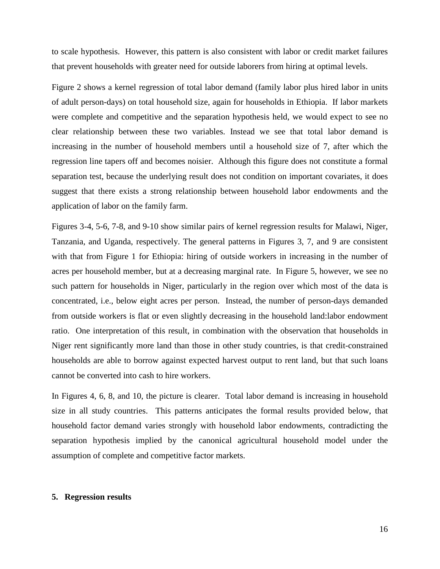to scale hypothesis. However, this pattern is also consistent with labor or credit market failures that prevent households with greater need for outside laborers from hiring at optimal levels.

Figure 2 shows a kernel regression of total labor demand (family labor plus hired labor in units of adult person-days) on total household size, again for households in Ethiopia. If labor markets were complete and competitive and the separation hypothesis held, we would expect to see no clear relationship between these two variables. Instead we see that total labor demand is increasing in the number of household members until a household size of 7, after which the regression line tapers off and becomes noisier. Although this figure does not constitute a formal separation test, because the underlying result does not condition on important covariates, it does suggest that there exists a strong relationship between household labor endowments and the application of labor on the family farm.

Figures 3-4, 5-6, 7-8, and 9-10 show similar pairs of kernel regression results for Malawi, Niger, Tanzania, and Uganda, respectively. The general patterns in Figures 3, 7, and 9 are consistent with that from Figure 1 for Ethiopia: hiring of outside workers in increasing in the number of acres per household member, but at a decreasing marginal rate. In Figure 5, however, we see no such pattern for households in Niger, particularly in the region over which most of the data is concentrated, i.e., below eight acres per person. Instead, the number of person-days demanded from outside workers is flat or even slightly decreasing in the household land:labor endowment ratio. One interpretation of this result, in combination with the observation that households in Niger rent significantly more land than those in other study countries, is that credit-constrained households are able to borrow against expected harvest output to rent land, but that such loans cannot be converted into cash to hire workers.

In Figures 4, 6, 8, and 10, the picture is clearer. Total labor demand is increasing in household size in all study countries. This patterns anticipates the formal results provided below, that household factor demand varies strongly with household labor endowments, contradicting the separation hypothesis implied by the canonical agricultural household model under the assumption of complete and competitive factor markets.

## **5. Regression results**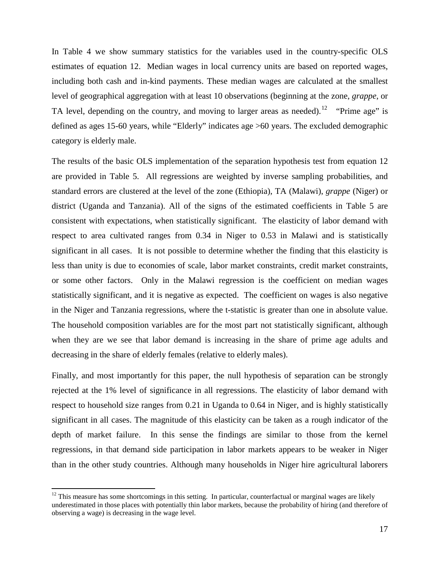In Table 4 we show summary statistics for the variables used in the country-specific OLS estimates of equation 12. Median wages in local currency units are based on reported wages, including both cash and in-kind payments. These median wages are calculated at the smallest level of geographical aggregation with at least 10 observations (beginning at the zone, *grappe*, or TA level, depending on the country, and moving to larger areas as needed).<sup>[12](#page-16-0)</sup> "Prime age" is defined as ages 15-60 years, while "Elderly" indicates age >60 years. The excluded demographic category is elderly male.

The results of the basic OLS implementation of the separation hypothesis test from equation 12 are provided in Table 5. All regressions are weighted by inverse sampling probabilities, and standard errors are clustered at the level of the zone (Ethiopia), TA (Malawi), *grappe* (Niger) or district (Uganda and Tanzania). All of the signs of the estimated coefficients in Table 5 are consistent with expectations, when statistically significant. The elasticity of labor demand with respect to area cultivated ranges from 0.34 in Niger to 0.53 in Malawi and is statistically significant in all cases. It is not possible to determine whether the finding that this elasticity is less than unity is due to economies of scale, labor market constraints, credit market constraints, or some other factors. Only in the Malawi regression is the coefficient on median wages statistically significant, and it is negative as expected. The coefficient on wages is also negative in the Niger and Tanzania regressions, where the t-statistic is greater than one in absolute value. The household composition variables are for the most part not statistically significant, although when they are we see that labor demand is increasing in the share of prime age adults and decreasing in the share of elderly females (relative to elderly males).

Finally, and most importantly for this paper, the null hypothesis of separation can be strongly rejected at the 1% level of significance in all regressions. The elasticity of labor demand with respect to household size ranges from 0.21 in Uganda to 0.64 in Niger, and is highly statistically significant in all cases. The magnitude of this elasticity can be taken as a rough indicator of the depth of market failure. In this sense the findings are similar to those from the kernel regressions, in that demand side participation in labor markets appears to be weaker in Niger than in the other study countries. Although many households in Niger hire agricultural laborers

<span id="page-16-0"></span> $12$  This measure has some shortcomings in this setting. In particular, counterfactual or marginal wages are likely underestimated in those places with potentially thin labor markets, because the probability of hiring (and therefore of observing a wage) is decreasing in the wage level.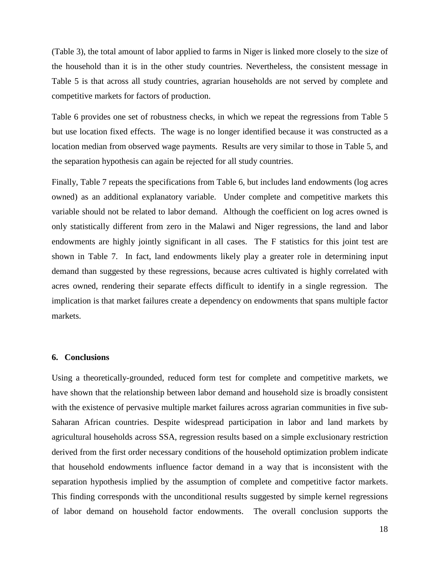(Table 3), the total amount of labor applied to farms in Niger is linked more closely to the size of the household than it is in the other study countries. Nevertheless, the consistent message in Table 5 is that across all study countries, agrarian households are not served by complete and competitive markets for factors of production.

Table 6 provides one set of robustness checks, in which we repeat the regressions from Table 5 but use location fixed effects. The wage is no longer identified because it was constructed as a location median from observed wage payments. Results are very similar to those in Table 5, and the separation hypothesis can again be rejected for all study countries.

Finally, Table 7 repeats the specifications from Table 6, but includes land endowments (log acres owned) as an additional explanatory variable. Under complete and competitive markets this variable should not be related to labor demand. Although the coefficient on log acres owned is only statistically different from zero in the Malawi and Niger regressions, the land and labor endowments are highly jointly significant in all cases. The F statistics for this joint test are shown in Table 7. In fact, land endowments likely play a greater role in determining input demand than suggested by these regressions, because acres cultivated is highly correlated with acres owned, rendering their separate effects difficult to identify in a single regression. The implication is that market failures create a dependency on endowments that spans multiple factor markets.

#### **6. Conclusions**

Using a theoretically-grounded, reduced form test for complete and competitive markets, we have shown that the relationship between labor demand and household size is broadly consistent with the existence of pervasive multiple market failures across agrarian communities in five sub-Saharan African countries. Despite widespread participation in labor and land markets by agricultural households across SSA, regression results based on a simple exclusionary restriction derived from the first order necessary conditions of the household optimization problem indicate that household endowments influence factor demand in a way that is inconsistent with the separation hypothesis implied by the assumption of complete and competitive factor markets. This finding corresponds with the unconditional results suggested by simple kernel regressions of labor demand on household factor endowments. The overall conclusion supports the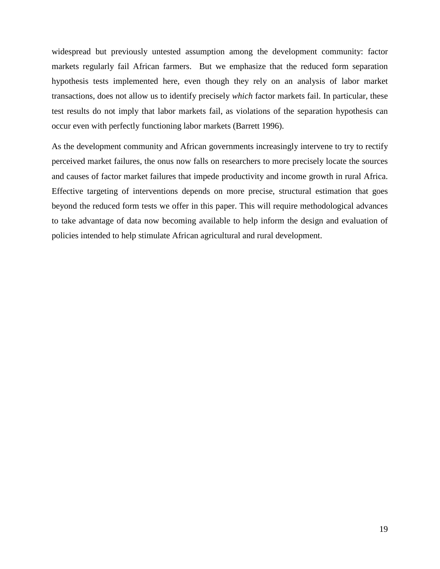widespread but previously untested assumption among the development community: factor markets regularly fail African farmers. But we emphasize that the reduced form separation hypothesis tests implemented here, even though they rely on an analysis of labor market transactions, does not allow us to identify precisely *which* factor markets fail. In particular, these test results do not imply that labor markets fail, as violations of the separation hypothesis can occur even with perfectly functioning labor markets (Barrett 1996).

As the development community and African governments increasingly intervene to try to rectify perceived market failures, the onus now falls on researchers to more precisely locate the sources and causes of factor market failures that impede productivity and income growth in rural Africa. Effective targeting of interventions depends on more precise, structural estimation that goes beyond the reduced form tests we offer in this paper. This will require methodological advances to take advantage of data now becoming available to help inform the design and evaluation of policies intended to help stimulate African agricultural and rural development.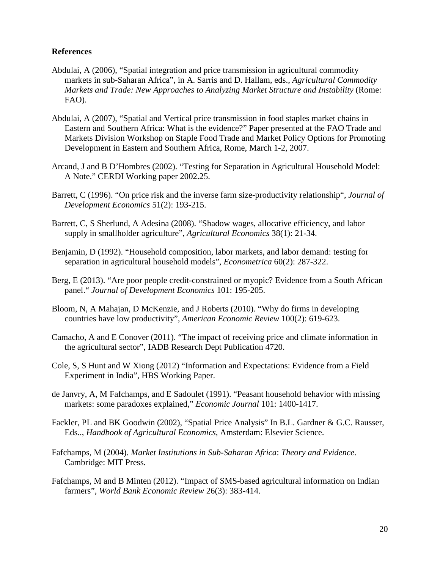## **References**

- Abdulai, A (2006), "Spatial integration and price transmission in agricultural commodity markets in sub-Saharan Africa", in A. Sarris and D. Hallam, eds., *Agricultural Commodity Markets and Trade: New Approaches to Analyzing Market Structure and Instability* (Rome: FAO).
- Abdulai, A (2007), "Spatial and Vertical price transmission in food staples market chains in Eastern and Southern Africa: What is the evidence?" Paper presented at the FAO Trade and Markets Division Workshop on Staple Food Trade and Market Policy Options for Promoting Development in Eastern and Southern Africa, Rome, March 1-2, 2007.
- Arcand, J and B D'Hombres (2002). "Testing for Separation in Agricultural Household Model: A Note." CERDI Working paper 2002.25.
- Barrett, C (1996). "On price risk and the inverse farm size-productivity relationship", *Journal of Development Economics* 51(2): 193-215.
- Barrett, C, S Sherlund, A Adesina (2008). "Shadow wages, allocative efficiency, and labor supply in smallholder agriculture", *Agricultural Economics* 38(1): 21-34.
- Benjamin, D (1992). "Household composition, labor markets, and labor demand: testing for separation in agricultural household models", *Econometrica* 60(2): 287-322.
- Berg, E (2013). "Are poor people credit-constrained or myopic? Evidence from a South African panel." *Journal of Development Economics* 101: 195-205.
- Bloom, N, A Mahajan, D McKenzie, and J Roberts (2010). "Why do firms in developing countries have low productivity", *American Economic Review* 100(2): 619-623.
- Camacho, A and E Conover (2011). "The impact of receiving price and climate information in the agricultural sector", IADB Research Dept Publication 4720.
- Cole, S, S Hunt and W Xiong (2012) "Information and Expectations: Evidence from a Field Experiment in India", HBS Working Paper.
- de Janvry, A, M Fafchamps, and E Sadoulet (1991). "Peasant household behavior with missing markets: some paradoxes explained," *Economic Journal* 101: 1400-1417.
- Fackler, PL and BK Goodwin (2002), "Spatial Price Analysis" In B.L. Gardner & G.C. Rausser, Eds.., *Handbook of Agricultural Economics,* Amsterdam: Elsevier Science.
- Fafchamps, M (2004). *Market Institutions in Sub-Saharan Africa*: *Theory and Evidence*. Cambridge: MIT Press.
- Fafchamps, M and B Minten (2012). "Impact of SMS-based agricultural information on Indian farmers", *World Bank Economic Review* 26(3): 383-414.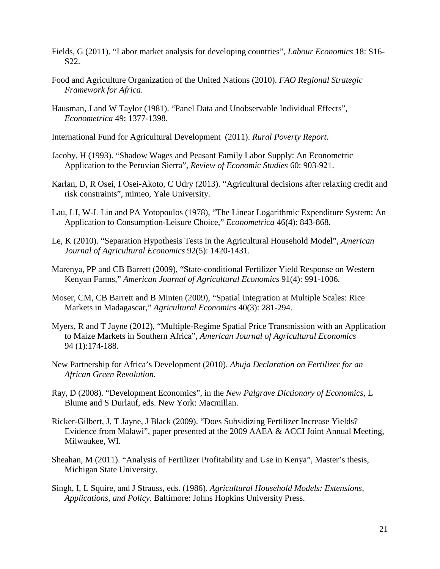- Fields, G (2011). "Labor market analysis for developing countries", *Labour Economics* 18: S16- S22.
- Food and Agriculture Organization of the United Nations (2010). *FAO Regional Strategic Framework for Africa*.
- Hausman, J and W Taylor (1981). "Panel Data and Unobservable Individual Effects", *Econometrica* 49: 1377-1398.
- International Fund for Agricultural Development (2011). *Rural Poverty Report*.
- Jacoby, H (1993). "Shadow Wages and Peasant Family Labor Supply: An Econometric Application to the Peruvian Sierra", *Review of Economic Studies* 60: 903-921.
- Karlan, D, R Osei, I Osei-Akoto, C Udry (2013). "Agricultural decisions after relaxing credit and risk constraints", mimeo, Yale University.
- Lau, LJ, W-L Lin and PA Yotopoulos (1978), "The Linear Logarithmic Expenditure System: An Application to Consumption-Leisure Choice," *Econometrica* 46(4): 843-868.
- Le, K (2010). "Separation Hypothesis Tests in the Agricultural Household Model", *American Journal of Agricultural Economics* 92(5): 1420-1431.
- Marenya, PP and CB Barrett (2009), "State-conditional Fertilizer Yield Response on Western Kenyan Farms," *American Journal of Agricultural Economics* 91(4): 991-1006.
- Moser, CM, CB Barrett and B Minten (2009), "Spatial Integration at Multiple Scales: Rice Markets in Madagascar," *Agricultural Economics* 40(3): 281-294.
- Myers, R and T Jayne (2012), "Multiple-Regime Spatial Price Transmission with an Application to Maize Markets in Southern Africa", *American Journal of Agricultural Economics*  94 (1):174-188.
- New Partnership for Africa's Development (2010). *Abuja Declaration on Fertilizer for an African Green Revolution.*
- Ray, D (2008). "Development Economics", in the *New Palgrave Dictionary of Economics*, L Blume and S Durlauf, eds. New York: Macmillan.
- Ricker-Gilbert, J, T Jayne, J Black (2009). "Does Subsidizing Fertilizer Increase Yields? Evidence from Malawi", paper presented at the 2009 AAEA & ACCI Joint Annual Meeting, Milwaukee, WI.
- Sheahan, M (2011). "Analysis of Fertilizer Profitability and Use in Kenya", Master's thesis, Michigan State University.
- Singh, I, L Squire, and J Strauss, eds. (1986). *Agricultural Household Models: Extensions, Applications, and Policy*. Baltimore: Johns Hopkins University Press.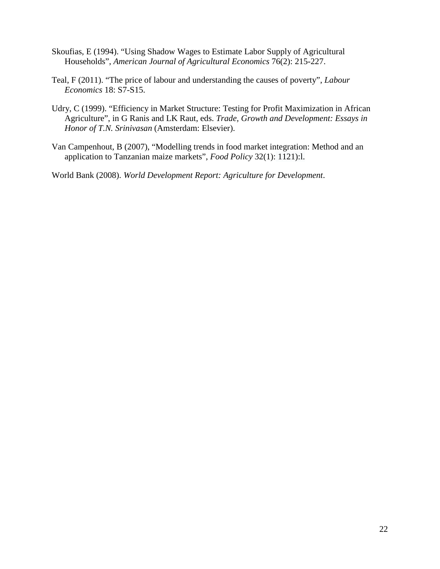- Skoufias, E (1994). "Using Shadow Wages to Estimate Labor Supply of Agricultural Households", *American Journal of Agricultural Economics* 76(2): 215-227.
- Teal, F (2011). "The price of labour and understanding the causes of poverty", *Labour Economics* 18: S7-S15.
- Udry, C (1999). "Efficiency in Market Structure: Testing for Profit Maximization in African Agriculture", in G Ranis and LK Raut, eds. *Trade, Growth and Development: Essays in Honor of T.N. Srinivasan* (Amsterdam: Elsevier).
- Van Campenhout, B (2007), "Modelling trends in food market integration: Method and an application to Tanzanian maize markets", *Food Policy* 32(1): 1121):l.

World Bank (2008). *World Development Report: Agriculture for Development*.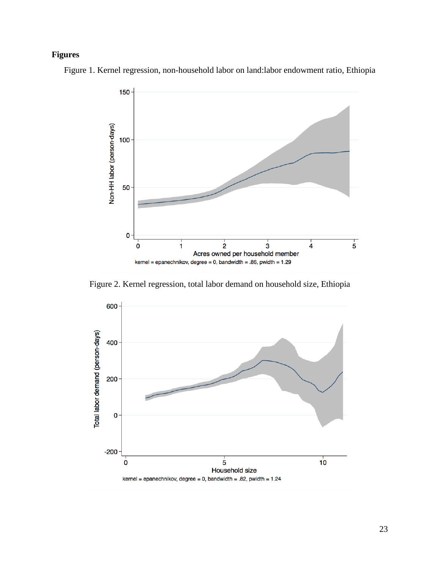# **Figures**

Figure 1. Kernel regression, non-household labor on land:labor endowment ratio, Ethiopia



Figure 2. Kernel regression, total labor demand on household size, Ethiopia

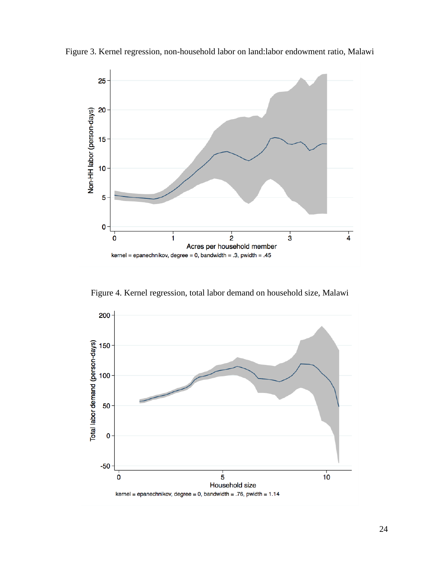

Figure 3. Kernel regression, non-household labor on land:labor endowment ratio, Malawi

Figure 4. Kernel regression, total labor demand on household size, Malawi

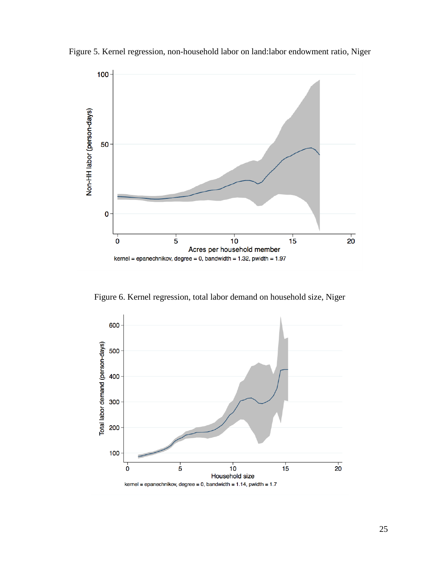

Figure 5. Kernel regression, non-household labor on land:labor endowment ratio, Niger

Figure 6. Kernel regression, total labor demand on household size, Niger

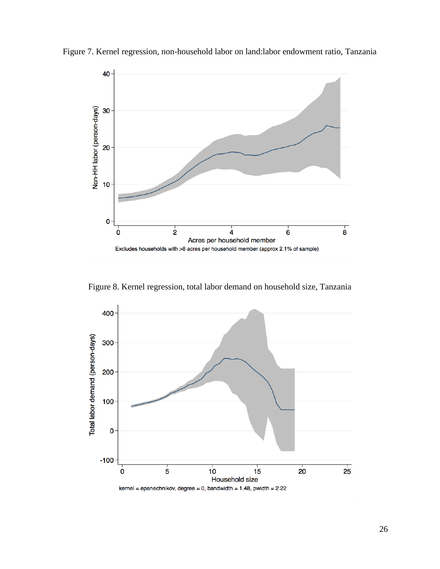

Figure 7. Kernel regression, non-household labor on land:labor endowment ratio, Tanzania

Figure 8. Kernel regression, total labor demand on household size, Tanzania

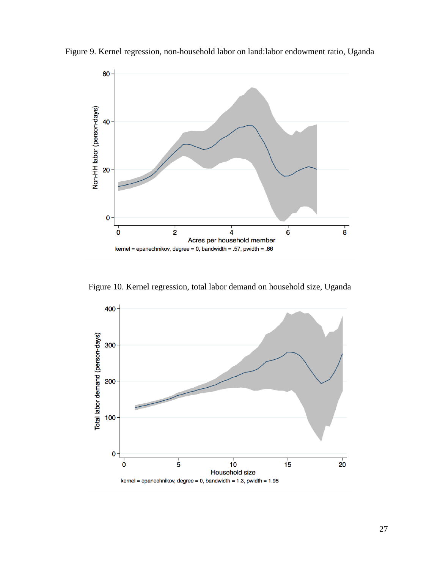

Figure 9. Kernel regression, non-household labor on land:labor endowment ratio, Uganda

Figure 10. Kernel regression, total labor demand on household size, Uganda

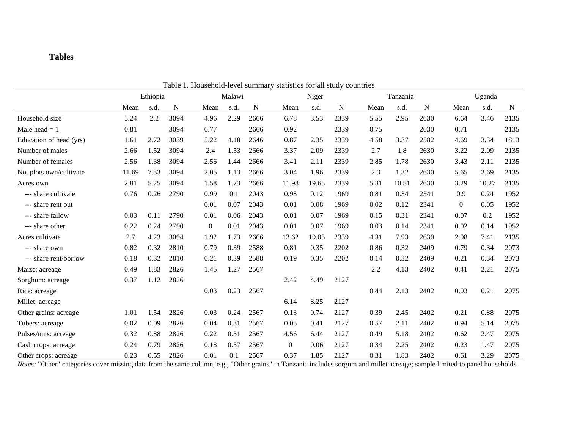# **Tables**

| I able 1. Household-level summally statistics for all study countries |          |      |      |                |      |      |                |       |      |          |       |      |                |       |      |
|-----------------------------------------------------------------------|----------|------|------|----------------|------|------|----------------|-------|------|----------|-------|------|----------------|-------|------|
|                                                                       | Ethiopia |      |      | Malawi         |      |      | Niger          |       |      | Tanzania |       |      | Uganda         |       |      |
|                                                                       | Mean     | s.d. | N    | Mean           | s.d. | N    | Mean           | s.d.  | N    | Mean     | s.d.  | N    | Mean           | s.d.  | N    |
| Household size                                                        | 5.24     | 2.2  | 3094 | 4.96           | 2.29 | 2666 | 6.78           | 3.53  | 2339 | 5.55     | 2.95  | 2630 | 6.64           | 3.46  | 2135 |
| Male head $= 1$                                                       | 0.81     |      | 3094 | 0.77           |      | 2666 | 0.92           |       | 2339 | 0.75     |       | 2630 | 0.71           |       | 2135 |
| Education of head (yrs)                                               | 1.61     | 2.72 | 3039 | 5.22           | 4.18 | 2646 | 0.87           | 2.35  | 2339 | 4.58     | 3.37  | 2582 | 4.69           | 3.34  | 1813 |
| Number of males                                                       | 2.66     | 1.52 | 3094 | 2.4            | 1.53 | 2666 | 3.37           | 2.09  | 2339 | 2.7      | 1.8   | 2630 | 3.22           | 2.09  | 2135 |
| Number of females                                                     | 2.56     | 1.38 | 3094 | 2.56           | 1.44 | 2666 | 3.41           | 2.11  | 2339 | 2.85     | 1.78  | 2630 | 3.43           | 2.11  | 2135 |
| No. plots own/cultivate                                               | 11.69    | 7.33 | 3094 | 2.05           | 1.13 | 2666 | 3.04           | 1.96  | 2339 | 2.3      | 1.32  | 2630 | 5.65           | 2.69  | 2135 |
| Acres own                                                             | 2.81     | 5.25 | 3094 | 1.58           | 1.73 | 2666 | 11.98          | 19.65 | 2339 | 5.31     | 10.51 | 2630 | 3.29           | 10.27 | 2135 |
| --- share cultivate                                                   | 0.76     | 0.26 | 2790 | 0.99           | 0.1  | 2043 | 0.98           | 0.12  | 1969 | 0.81     | 0.34  | 2341 | 0.9            | 0.24  | 1952 |
| --- share rent out                                                    |          |      |      | 0.01           | 0.07 | 2043 | 0.01           | 0.08  | 1969 | 0.02     | 0.12  | 2341 | $\overline{0}$ | 0.05  | 1952 |
| --- share fallow                                                      | 0.03     | 0.11 | 2790 | 0.01           | 0.06 | 2043 | 0.01           | 0.07  | 1969 | 0.15     | 0.31  | 2341 | 0.07           | 0.2   | 1952 |
| --- share other                                                       | 0.22     | 0.24 | 2790 | $\overline{0}$ | 0.01 | 2043 | 0.01           | 0.07  | 1969 | 0.03     | 0.14  | 2341 | 0.02           | 0.14  | 1952 |
| Acres cultivate                                                       | 2.7      | 4.23 | 3094 | 1.92           | 1.73 | 2666 | 13.62          | 19.05 | 2339 | 4.31     | 7.93  | 2630 | 2.98           | 7.41  | 2135 |
| --- share own                                                         | 0.82     | 0.32 | 2810 | 0.79           | 0.39 | 2588 | 0.81           | 0.35  | 2202 | 0.86     | 0.32  | 2409 | 0.79           | 0.34  | 2073 |
| --- share rent/borrow                                                 | 0.18     | 0.32 | 2810 | 0.21           | 0.39 | 2588 | 0.19           | 0.35  | 2202 | 0.14     | 0.32  | 2409 | 0.21           | 0.34  | 2073 |
| Maize: acreage                                                        | 0.49     | 1.83 | 2826 | 1.45           | 1.27 | 2567 |                |       |      | 2.2      | 4.13  | 2402 | 0.41           | 2.21  | 2075 |
| Sorghum: acreage                                                      | 0.37     | 1.12 | 2826 |                |      |      | 2.42           | 4.49  | 2127 |          |       |      |                |       |      |
| Rice: acreage                                                         |          |      |      | 0.03           | 0.23 | 2567 |                |       |      | 0.44     | 2.13  | 2402 | 0.03           | 0.21  | 2075 |
| Millet: acreage                                                       |          |      |      |                |      |      | 6.14           | 8.25  | 2127 |          |       |      |                |       |      |
| Other grains: acreage                                                 | 1.01     | 1.54 | 2826 | 0.03           | 0.24 | 2567 | 0.13           | 0.74  | 2127 | 0.39     | 2.45  | 2402 | 0.21           | 0.88  | 2075 |
| Tubers: acreage                                                       | 0.02     | 0.09 | 2826 | 0.04           | 0.31 | 2567 | 0.05           | 0.41  | 2127 | 0.57     | 2.11  | 2402 | 0.94           | 5.14  | 2075 |
| Pulses/nuts: acreage                                                  | 0.32     | 0.88 | 2826 | 0.22           | 0.51 | 2567 | 4.56           | 6.44  | 2127 | 0.49     | 5.18  | 2402 | 0.62           | 2.47  | 2075 |
| Cash crops: acreage                                                   | 0.24     | 0.79 | 2826 | 0.18           | 0.57 | 2567 | $\overline{0}$ | 0.06  | 2127 | 0.34     | 2.25  | 2402 | 0.23           | 1.47  | 2075 |
| Other crops: acreage                                                  | 0.23     | 0.55 | 2826 | 0.01           | 0.1  | 2567 | 0.37           | 1.85  | 2127 | 0.31     | 1.83  | 2402 | 0.61           | 3.29  | 2075 |

Table 1. Household-level summary statistics for all study countries

*Notes:* "Other" categories cover missing data from the same column, e.g., "Other grains" in Tanzania includes sorgum and millet acreage; sample limited to panel households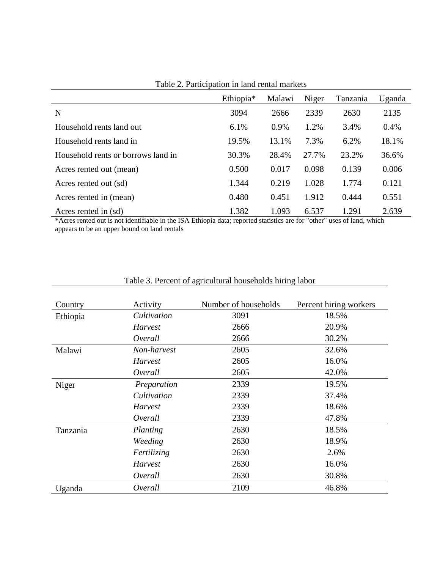|                                    | Ethiopia <sup>*</sup> | Malawi | Niger | Tanzania | Uganda |
|------------------------------------|-----------------------|--------|-------|----------|--------|
| N                                  | 3094                  | 2666   | 2339  | 2630     | 2135   |
| Household rents land out           | 6.1%                  | 0.9%   | 1.2%  | 3.4%     | 0.4%   |
| Household rents land in            | 19.5%                 | 13.1%  | 7.3%  | 6.2%     | 18.1%  |
| Household rents or borrows land in | 30.3%                 | 28.4%  | 27.7% | 23.2%    | 36.6%  |
| Acres rented out (mean)            | 0.500                 | 0.017  | 0.098 | 0.139    | 0.006  |
| Acres rented out (sd)              | 1.344                 | 0.219  | 1.028 | 1.774    | 0.121  |
| Acres rented in (mean)             | 0.480                 | 0.451  | 1.912 | 0.444    | 0.551  |
| Acres rented in (sd)               | 1.382                 | 1.093  | 6.537 | 1.291    | 2.639  |

Table 2. Participation in land rental markets

\*Acres rented out is not identifiable in the ISA Ethiopia data; reported statistics are for "other" uses of land, which appears to be an upper bound on land rentals

| Country  | Activity       | Number of households | Percent hiring workers |
|----------|----------------|----------------------|------------------------|
| Ethiopia | Cultivation    | 3091                 | 18.5%                  |
|          | <b>Harvest</b> | 2666                 | 20.9%                  |
|          | Overall        | 2666                 | 30.2%                  |
| Malawi   | Non-harvest    | 2605                 | 32.6%                  |
|          | Harvest        | 2605                 | 16.0%                  |
|          | Overall        | 2605                 | 42.0%                  |
| Niger    | Preparation    | 2339                 | 19.5%                  |
|          | Cultivation    | 2339                 | 37.4%                  |
|          | Harvest        | 2339                 | 18.6%                  |
|          | Overall        | 2339                 | 47.8%                  |
| Tanzania | Planting       | 2630                 | 18.5%                  |
|          | Weeding        | 2630                 | 18.9%                  |
|          | Fertilizing    | 2630                 | 2.6%                   |
|          | Harvest        | 2630                 | 16.0%                  |
|          | Overall        | 2630                 | 30.8%                  |
| Uganda   | Overall        | 2109                 | 46.8%                  |

# Table 3. Percent of agricultural households hiring labor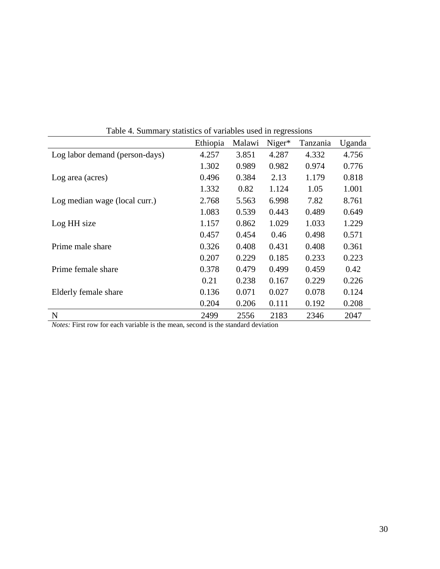| Table 4. Summary statistics of variables used in regressions |          |        |        |          |        |  |  |  |
|--------------------------------------------------------------|----------|--------|--------|----------|--------|--|--|--|
|                                                              | Ethiopia | Malawi | Niger* | Tanzania | Uganda |  |  |  |
| Log labor demand (person-days)                               | 4.257    | 3.851  | 4.287  | 4.332    | 4.756  |  |  |  |
|                                                              | 1.302    | 0.989  | 0.982  | 0.974    | 0.776  |  |  |  |
| Log area (acres)                                             | 0.496    | 0.384  | 2.13   | 1.179    | 0.818  |  |  |  |
|                                                              | 1.332    | 0.82   | 1.124  | 1.05     | 1.001  |  |  |  |
| Log median wage (local curr.)                                | 2.768    | 5.563  | 6.998  | 7.82     | 8.761  |  |  |  |
|                                                              | 1.083    | 0.539  | 0.443  | 0.489    | 0.649  |  |  |  |
| Log HH size                                                  | 1.157    | 0.862  | 1.029  | 1.033    | 1.229  |  |  |  |
|                                                              | 0.457    | 0.454  | 0.46   | 0.498    | 0.571  |  |  |  |
| Prime male share                                             | 0.326    | 0.408  | 0.431  | 0.408    | 0.361  |  |  |  |
|                                                              | 0.207    | 0.229  | 0.185  | 0.233    | 0.223  |  |  |  |
| Prime female share                                           | 0.378    | 0.479  | 0.499  | 0.459    | 0.42   |  |  |  |
|                                                              | 0.21     | 0.238  | 0.167  | 0.229    | 0.226  |  |  |  |
| Elderly female share                                         | 0.136    | 0.071  | 0.027  | 0.078    | 0.124  |  |  |  |
|                                                              | 0.204    | 0.206  | 0.111  | 0.192    | 0.208  |  |  |  |
| ${\bf N}$                                                    | 2499     | 2556   | 2183   | 2346     | 2047   |  |  |  |

Table 4. Summary statistics of variables used in regressions

*Notes:* First row for each variable is the mean, second is the standard deviation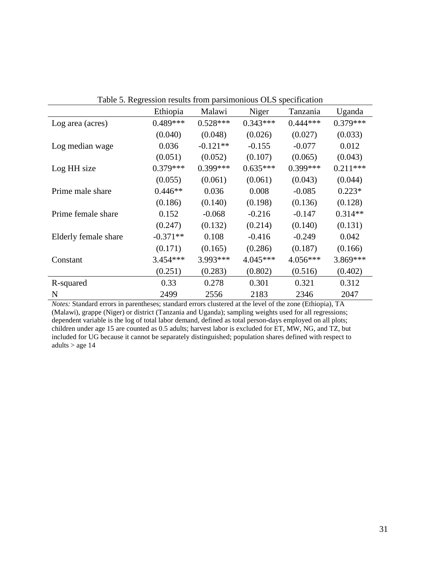|                      | Ethiopia   | Malawi     | Niger      | Tanzania   | Uganda     |
|----------------------|------------|------------|------------|------------|------------|
| Log area (acres)     | $0.489***$ | $0.528***$ | $0.343***$ | $0.444***$ | $0.379***$ |
|                      | (0.040)    | (0.048)    | (0.026)    | (0.027)    | (0.033)    |
| Log median wage      | 0.036      | $-0.121**$ | $-0.155$   | $-0.077$   | 0.012      |
|                      | (0.051)    | (0.052)    | (0.107)    | (0.065)    | (0.043)    |
| Log HH size          | $0.379***$ | $0.399***$ | $0.635***$ | $0.399***$ | $0.211***$ |
|                      | (0.055)    | (0.061)    | (0.061)    | (0.043)    | (0.044)    |
| Prime male share     | $0.446**$  | 0.036      | 0.008      | $-0.085$   | $0.223*$   |
|                      | (0.186)    | (0.140)    | (0.198)    | (0.136)    | (0.128)    |
| Prime female share   | 0.152      | $-0.068$   | $-0.216$   | $-0.147$   | $0.314**$  |
|                      | (0.247)    | (0.132)    | (0.214)    | (0.140)    | (0.131)    |
| Elderly female share | $-0.371**$ | 0.108      | $-0.416$   | $-0.249$   | 0.042      |
|                      | (0.171)    | (0.165)    | (0.286)    | (0.187)    | (0.166)    |
| Constant             | 3.454***   | 3.993***   | $4.045***$ | 4.056***   | 3.869 ***  |
|                      | (0.251)    | (0.283)    | (0.802)    | (0.516)    | (0.402)    |
| R-squared            | 0.33       | 0.278      | 0.301      | 0.321      | 0.312      |
| N                    | 2499       | 2556       | 2183       | 2346       | 2047       |

Table 5. Regression results from parsimonious OLS specification

*Notes:* Standard errors in parentheses; standard errors clustered at the level of the zone (Ethiopia), TA (Malawi), grappe (Niger) or district (Tanzania and Uganda); sampling weights used for all regressions; dependent variable is the log of total labor demand, defined as total person-days employed on all plots; children under age 15 are counted as 0.5 adults; harvest labor is excluded for ET, MW, NG, and TZ, but included for UG because it cannot be separately distinguished; population shares defined with respect to adults  $>$  age 14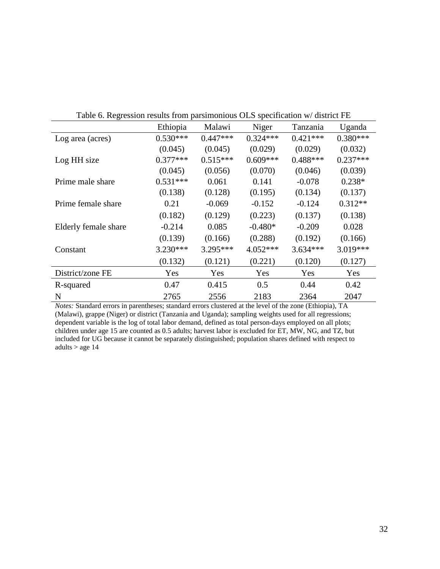| $\frac{1}{2}$ and $\frac{1}{2}$ and $\frac{1}{2}$ and $\frac{1}{2}$ and $\frac{1}{2}$ and $\frac{1}{2}$ and $\frac{1}{2}$ and $\frac{1}{2}$ and $\frac{1}{2}$ and $\frac{1}{2}$ and $\frac{1}{2}$ and $\frac{1}{2}$ and $\frac{1}{2}$ and $\frac{1}{2}$ and $\frac{1}{2}$ and $\frac{1}{2}$ a |            |            |            |            |            |  |  |  |  |
|-----------------------------------------------------------------------------------------------------------------------------------------------------------------------------------------------------------------------------------------------------------------------------------------------|------------|------------|------------|------------|------------|--|--|--|--|
|                                                                                                                                                                                                                                                                                               | Ethiopia   | Malawi     | Niger      | Tanzania   | Uganda     |  |  |  |  |
| Log area (acres)                                                                                                                                                                                                                                                                              | $0.530***$ | $0.447***$ | $0.324***$ | $0.421***$ | $0.380***$ |  |  |  |  |
|                                                                                                                                                                                                                                                                                               | (0.045)    | (0.045)    | (0.029)    | (0.029)    | (0.032)    |  |  |  |  |
| Log HH size                                                                                                                                                                                                                                                                                   | $0.377***$ | $0.515***$ | $0.609***$ | $0.488***$ | $0.237***$ |  |  |  |  |
|                                                                                                                                                                                                                                                                                               | (0.045)    | (0.056)    | (0.070)    | (0.046)    | (0.039)    |  |  |  |  |
| Prime male share                                                                                                                                                                                                                                                                              | $0.531***$ | 0.061      | 0.141      | $-0.078$   | $0.238*$   |  |  |  |  |
|                                                                                                                                                                                                                                                                                               | (0.138)    | (0.128)    | (0.195)    | (0.134)    | (0.137)    |  |  |  |  |
| Prime female share                                                                                                                                                                                                                                                                            | 0.21       | $-0.069$   | $-0.152$   | $-0.124$   | $0.312**$  |  |  |  |  |
|                                                                                                                                                                                                                                                                                               | (0.182)    | (0.129)    | (0.223)    | (0.137)    | (0.138)    |  |  |  |  |
| Elderly female share                                                                                                                                                                                                                                                                          | $-0.214$   | 0.085      | $-0.480*$  | $-0.209$   | 0.028      |  |  |  |  |
|                                                                                                                                                                                                                                                                                               | (0.139)    | (0.166)    | (0.288)    | (0.192)    | (0.166)    |  |  |  |  |
| Constant                                                                                                                                                                                                                                                                                      | $3.230***$ | 3.295***   | 4.052***   | $3.634***$ | 3.019***   |  |  |  |  |
|                                                                                                                                                                                                                                                                                               | (0.132)    | (0.121)    | (0.221)    | (0.120)    | (0.127)    |  |  |  |  |
| District/zone FE                                                                                                                                                                                                                                                                              | Yes        | Yes        | Yes        | Yes        | Yes        |  |  |  |  |
| R-squared                                                                                                                                                                                                                                                                                     | 0.47       | 0.415      | 0.5        | 0.44       | 0.42       |  |  |  |  |
| N                                                                                                                                                                                                                                                                                             | 2765       | 2556       | 2183       | 2364       | 2047       |  |  |  |  |

Table 6. Regression results from parsimonious OLS specification w/ district FE

*Notes:* Standard errors in parentheses; standard errors clustered at the level of the zone (Ethiopia), TA (Malawi), grappe (Niger) or district (Tanzania and Uganda); sampling weights used for all regressions; dependent variable is the log of total labor demand, defined as total person-days employed on all plots; children under age 15 are counted as 0.5 adults; harvest labor is excluded for ET, MW, NG, and TZ, but included for UG because it cannot be separately distinguished; population shares defined with respect to adults  $>$  age 14